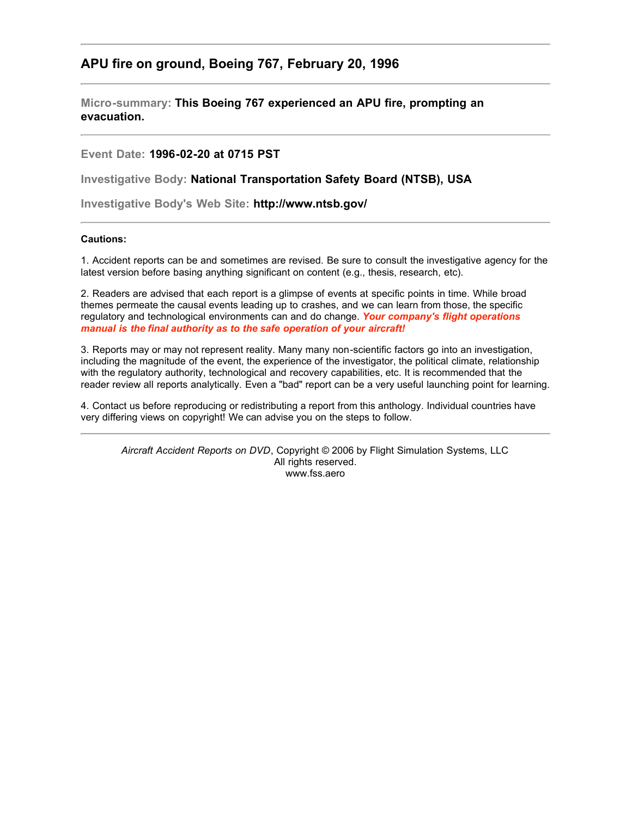## **APU fire on ground, Boeing 767, February 20, 1996**

**Micro-summary: This Boeing 767 experienced an APU fire, prompting an evacuation.**

## **Event Date: 1996-02-20 at 0715 PST**

**Investigative Body: National Transportation Safety Board (NTSB), USA**

**Investigative Body's Web Site: http://www.ntsb.gov/**

## **Cautions:**

1. Accident reports can be and sometimes are revised. Be sure to consult the investigative agency for the latest version before basing anything significant on content (e.g., thesis, research, etc).

2. Readers are advised that each report is a glimpse of events at specific points in time. While broad themes permeate the causal events leading up to crashes, and we can learn from those, the specific regulatory and technological environments can and do change. *Your company's flight operations manual is the final authority as to the safe operation of your aircraft!*

3. Reports may or may not represent reality. Many many non-scientific factors go into an investigation, including the magnitude of the event, the experience of the investigator, the political climate, relationship with the regulatory authority, technological and recovery capabilities, etc. It is recommended that the reader review all reports analytically. Even a "bad" report can be a very useful launching point for learning.

4. Contact us before reproducing or redistributing a report from this anthology. Individual countries have very differing views on copyright! We can advise you on the steps to follow.

*Aircraft Accident Reports on DVD*, Copyright © 2006 by Flight Simulation Systems, LLC All rights reserved. www.fss.aero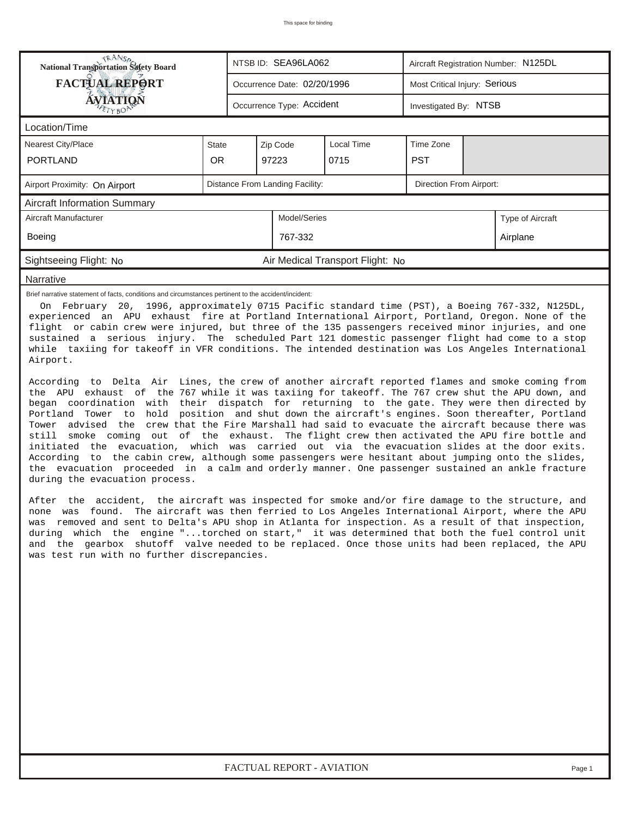| <b>National Transportation Safety Board</b>                                                                                                                                                                                                                                                                                                                                                                                                                                                                                                                                                                                                                                                                                                                                                                                                                                                                                                                                                                                                                                                                                                                                                                                                                                                                                                                                                                                                                                                                                                                                                                                                                                                                                                                                                                                                                                                                                                                                                                                                                                                                                                                                      |           |  | NTSB ID: SEA96LA062             |                                  | Aircraft Registration Number: N125DL |          |                  |  |  |
|----------------------------------------------------------------------------------------------------------------------------------------------------------------------------------------------------------------------------------------------------------------------------------------------------------------------------------------------------------------------------------------------------------------------------------------------------------------------------------------------------------------------------------------------------------------------------------------------------------------------------------------------------------------------------------------------------------------------------------------------------------------------------------------------------------------------------------------------------------------------------------------------------------------------------------------------------------------------------------------------------------------------------------------------------------------------------------------------------------------------------------------------------------------------------------------------------------------------------------------------------------------------------------------------------------------------------------------------------------------------------------------------------------------------------------------------------------------------------------------------------------------------------------------------------------------------------------------------------------------------------------------------------------------------------------------------------------------------------------------------------------------------------------------------------------------------------------------------------------------------------------------------------------------------------------------------------------------------------------------------------------------------------------------------------------------------------------------------------------------------------------------------------------------------------------|-----------|--|---------------------------------|----------------------------------|--------------------------------------|----------|------------------|--|--|
| <b>FACTUAL REPORT</b>                                                                                                                                                                                                                                                                                                                                                                                                                                                                                                                                                                                                                                                                                                                                                                                                                                                                                                                                                                                                                                                                                                                                                                                                                                                                                                                                                                                                                                                                                                                                                                                                                                                                                                                                                                                                                                                                                                                                                                                                                                                                                                                                                            |           |  | Occurrence Date: 02/20/1996     |                                  | Most Critical Injury: Serious        |          |                  |  |  |
| AVIATION                                                                                                                                                                                                                                                                                                                                                                                                                                                                                                                                                                                                                                                                                                                                                                                                                                                                                                                                                                                                                                                                                                                                                                                                                                                                                                                                                                                                                                                                                                                                                                                                                                                                                                                                                                                                                                                                                                                                                                                                                                                                                                                                                                         |           |  | Occurrence Type: Accident       |                                  | Investigated By: NTSB                |          |                  |  |  |
| Location/Time                                                                                                                                                                                                                                                                                                                                                                                                                                                                                                                                                                                                                                                                                                                                                                                                                                                                                                                                                                                                                                                                                                                                                                                                                                                                                                                                                                                                                                                                                                                                                                                                                                                                                                                                                                                                                                                                                                                                                                                                                                                                                                                                                                    |           |  |                                 |                                  |                                      |          |                  |  |  |
| <b>Nearest City/Place</b>                                                                                                                                                                                                                                                                                                                                                                                                                                                                                                                                                                                                                                                                                                                                                                                                                                                                                                                                                                                                                                                                                                                                                                                                                                                                                                                                                                                                                                                                                                                                                                                                                                                                                                                                                                                                                                                                                                                                                                                                                                                                                                                                                        | State     |  | Zip Code                        | Local Time                       | Time Zone                            |          |                  |  |  |
| <b>PORTLAND</b>                                                                                                                                                                                                                                                                                                                                                                                                                                                                                                                                                                                                                                                                                                                                                                                                                                                                                                                                                                                                                                                                                                                                                                                                                                                                                                                                                                                                                                                                                                                                                                                                                                                                                                                                                                                                                                                                                                                                                                                                                                                                                                                                                                  | <b>OR</b> |  | 97223                           | 0715                             | <b>PST</b>                           |          |                  |  |  |
| Airport Proximity: On Airport                                                                                                                                                                                                                                                                                                                                                                                                                                                                                                                                                                                                                                                                                                                                                                                                                                                                                                                                                                                                                                                                                                                                                                                                                                                                                                                                                                                                                                                                                                                                                                                                                                                                                                                                                                                                                                                                                                                                                                                                                                                                                                                                                    |           |  | Distance From Landing Facility: |                                  | Direction From Airport:              |          |                  |  |  |
| <b>Aircraft Information Summary</b>                                                                                                                                                                                                                                                                                                                                                                                                                                                                                                                                                                                                                                                                                                                                                                                                                                                                                                                                                                                                                                                                                                                                                                                                                                                                                                                                                                                                                                                                                                                                                                                                                                                                                                                                                                                                                                                                                                                                                                                                                                                                                                                                              |           |  |                                 |                                  |                                      |          |                  |  |  |
| Aircraft Manufacturer                                                                                                                                                                                                                                                                                                                                                                                                                                                                                                                                                                                                                                                                                                                                                                                                                                                                                                                                                                                                                                                                                                                                                                                                                                                                                                                                                                                                                                                                                                                                                                                                                                                                                                                                                                                                                                                                                                                                                                                                                                                                                                                                                            |           |  | Model/Series                    |                                  |                                      |          | Type of Aircraft |  |  |
| Boeing                                                                                                                                                                                                                                                                                                                                                                                                                                                                                                                                                                                                                                                                                                                                                                                                                                                                                                                                                                                                                                                                                                                                                                                                                                                                                                                                                                                                                                                                                                                                                                                                                                                                                                                                                                                                                                                                                                                                                                                                                                                                                                                                                                           |           |  | 767-332                         |                                  |                                      | Airplane |                  |  |  |
| Sightseeing Flight: No                                                                                                                                                                                                                                                                                                                                                                                                                                                                                                                                                                                                                                                                                                                                                                                                                                                                                                                                                                                                                                                                                                                                                                                                                                                                                                                                                                                                                                                                                                                                                                                                                                                                                                                                                                                                                                                                                                                                                                                                                                                                                                                                                           |           |  |                                 | Air Medical Transport Flight: No |                                      |          |                  |  |  |
| Narrative                                                                                                                                                                                                                                                                                                                                                                                                                                                                                                                                                                                                                                                                                                                                                                                                                                                                                                                                                                                                                                                                                                                                                                                                                                                                                                                                                                                                                                                                                                                                                                                                                                                                                                                                                                                                                                                                                                                                                                                                                                                                                                                                                                        |           |  |                                 |                                  |                                      |          |                  |  |  |
| Brief narrative statement of facts, conditions and circumstances pertinent to the accident/incident:<br>On February 20, 1996, approximately 0715 Pacific standard time (PST), a Boeing 767-332, N125DL,<br>experienced an APU exhaust fire at Portland International Airport, Portland, Oregon. None of the<br>flight or cabin crew were injured, but three of the 135 passengers received minor injuries, and one<br>sustained a serious injury. The scheduled Part 121 domestic passenger flight had come to a stop<br>while taxiing for takeoff in VFR conditions. The intended destination was Los Angeles International<br>Airport.<br>According to Delta Air Lines, the crew of another aircraft reported flames and smoke coming from<br>the APU exhaust of the 767 while it was taxiing for takeoff. The 767 crew shut the APU down, and<br>began coordination with their dispatch for returning to the gate. They were then directed by<br>Tower to hold position and shut down the aircraft's engines. Soon thereafter, Portland<br>Portland<br>Tower advised the crew that the Fire Marshall had said to evacuate the aircraft because there was<br>smoke coming out of the exhaust. The flight crew then activated the APU fire bottle and<br>still<br>initiated the evacuation, which was carried out via the evacuation slides at the door exits.<br>According to the cabin crew, although some passengers were hesitant about jumping onto the slides,<br>the evacuation proceeded in a calm and orderly manner. One passenger sustained an ankle fracture<br>during the evacuation process.<br>After the accident, the aircraft was inspected for smoke and/or fire damage to the structure, and<br>none was found. The aircraft was then ferried to Los Angeles International Airport, where the APU<br>was removed and sent to Delta's APU shop in Atlanta for inspection. As a result of that inspection,<br>during which the engine "torched on start," it was determined that both the fuel control unit<br>and the gearbox shutoff valve needed to be replaced. Once those units had been replaced, the APU<br>was test run with no further discrepancies. |           |  |                                 |                                  |                                      |          |                  |  |  |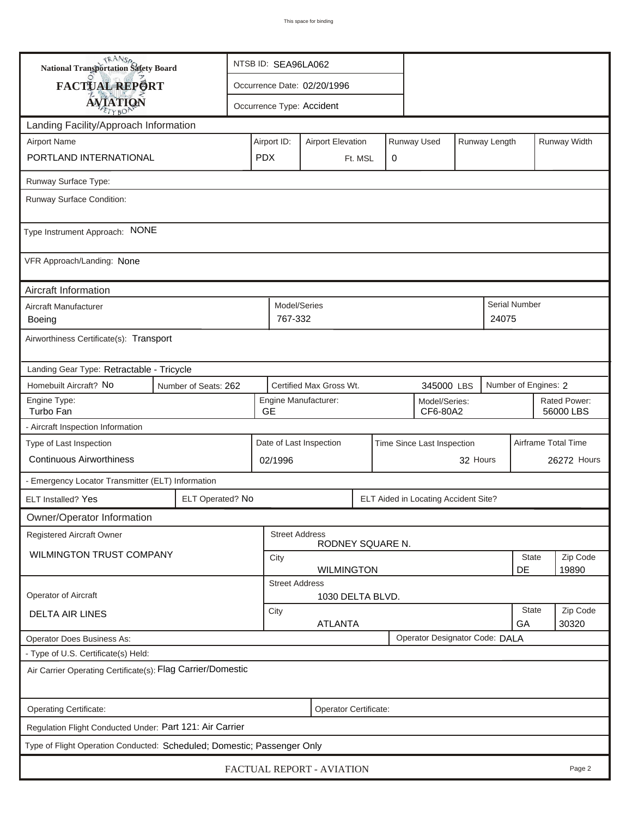| <b>National Transportation Safety Board</b>                             |                        | NTSB ID: SEA96LA062                                                     |                           |                           |   |  |                                      |                    |                           |                      |                     |
|-------------------------------------------------------------------------|------------------------|-------------------------------------------------------------------------|---------------------------|---------------------------|---|--|--------------------------------------|--------------------|---------------------------|----------------------|---------------------|
| FACTUAL REPORT                                                          |                        | Occurrence Date: 02/20/1996                                             |                           |                           |   |  |                                      |                    |                           |                      |                     |
| <b>AVIATION</b>                                                         |                        |                                                                         |                           | Occurrence Type: Accident |   |  |                                      |                    |                           |                      |                     |
| Landing Facility/Approach Information                                   |                        |                                                                         |                           |                           |   |  |                                      |                    |                           |                      |                     |
| <b>Airport Name</b>                                                     |                        | Runway Used<br>Runway Length<br>Airport ID:<br><b>Airport Elevation</b> |                           |                           |   |  |                                      |                    | Runway Width              |                      |                     |
| PORTLAND INTERNATIONAL                                                  | <b>PDX</b>             |                                                                         |                           | Ft. MSL                   | 0 |  |                                      |                    |                           |                      |                     |
| Runway Surface Type:                                                    |                        |                                                                         |                           |                           |   |  |                                      |                    |                           |                      |                     |
| Runway Surface Condition:                                               |                        |                                                                         |                           |                           |   |  |                                      |                    |                           |                      |                     |
| Type Instrument Approach: NONE                                          |                        |                                                                         |                           |                           |   |  |                                      |                    |                           |                      |                     |
| VFR Approach/Landing: None                                              |                        |                                                                         |                           |                           |   |  |                                      |                    |                           |                      |                     |
| Aircraft Information                                                    |                        |                                                                         |                           |                           |   |  |                                      |                    |                           |                      |                     |
| Aircraft Manufacturer<br>Boeing                                         |                        |                                                                         | Model/Series<br>767-332   |                           |   |  |                                      |                    | 24075                     | Serial Number        |                     |
| Airworthiness Certificate(s): Transport                                 |                        |                                                                         |                           |                           |   |  |                                      |                    |                           |                      |                     |
| Landing Gear Type: Retractable - Tricycle                               |                        |                                                                         |                           |                           |   |  |                                      |                    |                           |                      |                     |
| Homebuilt Aircraft? No<br>Number of Seats: 262                          |                        |                                                                         |                           | Certified Max Gross Wt.   |   |  | 345000 LBS                           |                    |                           | Number of Engines: 2 |                     |
| Engine Type:<br>Turbo Fan                                               | <b>GE</b>              | Engine Manufacturer:<br>Model/Series:<br>CF6-80A2                       |                           |                           |   |  |                                      |                    | Rated Power:<br>56000 LBS |                      |                     |
| - Aircraft Inspection Information                                       |                        |                                                                         |                           |                           |   |  |                                      |                    |                           |                      |                     |
| Type of Last Inspection                                                 |                        |                                                                         |                           | Date of Last Inspection   |   |  | Time Since Last Inspection           |                    |                           |                      | Airframe Total Time |
| <b>Continuous Airworthiness</b>                                         |                        |                                                                         | 02/1996                   |                           |   |  |                                      | 32 Hours           |                           |                      | 26272 Hours         |
| - Emergency Locator Transmitter (ELT) Information                       |                        |                                                                         |                           |                           |   |  |                                      |                    |                           |                      |                     |
| ELT Installed? Yes                                                      | ELT Operated? No       |                                                                         |                           |                           |   |  | ELT Aided in Locating Accident Site? |                    |                           |                      |                     |
| Owner/Operator Information                                              |                        |                                                                         |                           |                           |   |  |                                      |                    |                           |                      |                     |
| <b>Registered Aircraft Owner</b>                                        |                        |                                                                         | <b>Street Address</b>     | RODNEY SQUARE N.          |   |  |                                      |                    |                           |                      |                     |
| WILMINGTON TRUST COMPANY                                                |                        |                                                                         | City<br><b>WILMINGTON</b> |                           |   |  |                                      |                    |                           | State                | Zip Code            |
|                                                                         |                        |                                                                         | <b>Street Address</b>     |                           |   |  |                                      |                    |                           | DE                   | 19890               |
| Operator of Aircraft                                                    |                        |                                                                         |                           | 1030 DELTA BLVD.          |   |  |                                      |                    |                           |                      |                     |
| <b>DELTA AIR LINES</b>                                                  | City<br><b>ATLANTA</b> |                                                                         |                           |                           |   |  |                                      | <b>State</b><br>GA | Zip Code<br>30320         |                      |                     |
| Operator Does Business As:                                              |                        |                                                                         |                           |                           |   |  | Operator Designator Code: DALA       |                    |                           |                      |                     |
| - Type of U.S. Certificate(s) Held:                                     |                        |                                                                         |                           |                           |   |  |                                      |                    |                           |                      |                     |
| Air Carrier Operating Certificate(s): Flag Carrier/Domestic             |                        |                                                                         |                           |                           |   |  |                                      |                    |                           |                      |                     |
| Operating Certificate:<br>Operator Certificate:                         |                        |                                                                         |                           |                           |   |  |                                      |                    |                           |                      |                     |
| Regulation Flight Conducted Under: Part 121: Air Carrier                |                        |                                                                         |                           |                           |   |  |                                      |                    |                           |                      |                     |
| Type of Flight Operation Conducted: Scheduled; Domestic; Passenger Only |                        |                                                                         |                           |                           |   |  |                                      |                    |                           |                      |                     |
| FACTUAL REPORT - AVIATION<br>Page 2                                     |                        |                                                                         |                           |                           |   |  |                                      |                    |                           |                      |                     |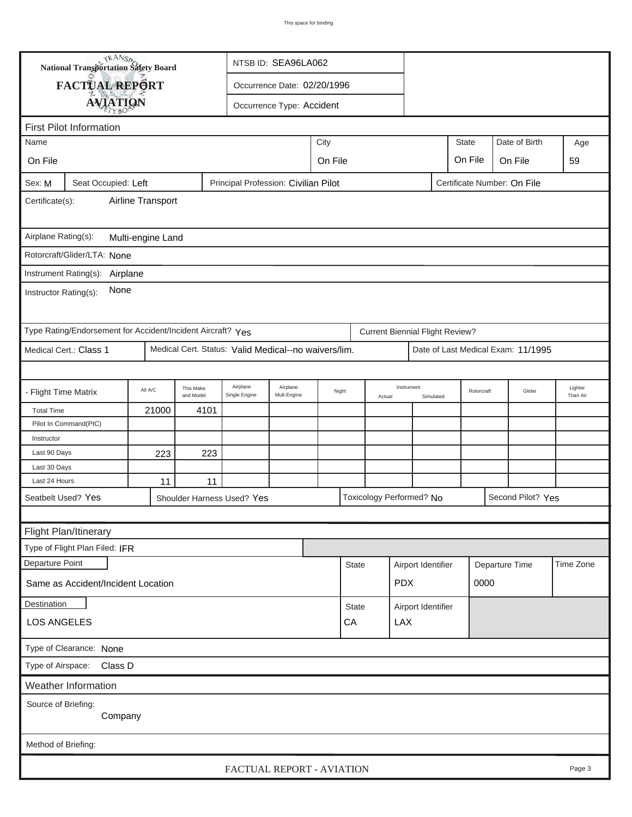| TRANSA<br>NTSB ID: SEA96LA062<br>National Transportation Safety Board |                                                                                            |         |                                       |                                                                             |                                     |                 |              |                         |                                        |                    |        |                                    |           |  |
|-----------------------------------------------------------------------|--------------------------------------------------------------------------------------------|---------|---------------------------------------|-----------------------------------------------------------------------------|-------------------------------------|-----------------|--------------|-------------------------|----------------------------------------|--------------------|--------|------------------------------------|-----------|--|
|                                                                       | FACTUAL REPORT                                                                             |         |                                       |                                                                             | Occurrence Date: 02/20/1996         |                 |              |                         |                                        |                    |        |                                    |           |  |
|                                                                       |                                                                                            |         |                                       |                                                                             | Occurrence Type: Accident           |                 |              |                         |                                        |                    |        |                                    |           |  |
|                                                                       | <b>AVIATION</b>                                                                            |         |                                       |                                                                             |                                     |                 |              |                         |                                        |                    |        |                                    |           |  |
| <b>First Pilot Information</b>                                        |                                                                                            |         |                                       |                                                                             |                                     |                 |              |                         |                                        |                    |        |                                    |           |  |
| Name                                                                  |                                                                                            |         | City<br><b>State</b><br>Date of Birth |                                                                             |                                     |                 |              |                         |                                        |                    |        |                                    | Age       |  |
| On File                                                               |                                                                                            |         |                                       |                                                                             | On File<br>On File<br>On File<br>59 |                 |              |                         |                                        |                    |        |                                    |           |  |
| Sex: M                                                                | Principal Profession: Civilian Pilot<br>Certificate Number: On File<br>Seat Occupied: Left |         |                                       |                                                                             |                                     |                 |              |                         |                                        |                    |        |                                    |           |  |
| Airline Transport<br>Certificate(s):                                  |                                                                                            |         |                                       |                                                                             |                                     |                 |              |                         |                                        |                    |        |                                    |           |  |
| Airplane Rating(s):<br>Multi-engine Land                              |                                                                                            |         |                                       |                                                                             |                                     |                 |              |                         |                                        |                    |        |                                    |           |  |
|                                                                       | Rotorcraft/Glider/LTA: None                                                                |         |                                       |                                                                             |                                     |                 |              |                         |                                        |                    |        |                                    |           |  |
|                                                                       | Instrument Rating(s):<br>Airplane                                                          |         |                                       |                                                                             |                                     |                 |              |                         |                                        |                    |        |                                    |           |  |
|                                                                       | None                                                                                       |         |                                       |                                                                             |                                     |                 |              |                         |                                        |                    |        |                                    |           |  |
| Instructor Rating(s):                                                 |                                                                                            |         |                                       |                                                                             |                                     |                 |              |                         |                                        |                    |        |                                    |           |  |
|                                                                       | Type Rating/Endorsement for Accident/Incident Aircraft? Yes                                |         |                                       |                                                                             |                                     |                 |              |                         | <b>Current Biennial Flight Review?</b> |                    |        |                                    |           |  |
|                                                                       | Medical Cert.: Class 1                                                                     |         |                                       | Medical Cert. Status: Valid Medical--no waivers/lim.                        |                                     |                 |              |                         |                                        |                    |        | Date of Last Medical Exam: 11/1995 |           |  |
|                                                                       |                                                                                            |         |                                       |                                                                             |                                     |                 |              |                         |                                        |                    |        |                                    |           |  |
| - Flight Time Matrix                                                  |                                                                                            | All A/C | This Make<br>and Model                | Airplane<br>Single Engine                                                   | Airplane<br>Mult-Engine             | Night<br>Actual |              | Instrument<br>Simulated |                                        | Rotorcraft         | Glider | Lighter<br>Than Air                |           |  |
| <b>Total Time</b>                                                     |                                                                                            | 21000   | 4101                                  |                                                                             |                                     |                 |              |                         |                                        |                    |        |                                    |           |  |
|                                                                       | Pilot In Command(PIC)                                                                      |         |                                       |                                                                             |                                     |                 |              |                         |                                        |                    |        |                                    |           |  |
| Instructor                                                            |                                                                                            |         |                                       |                                                                             |                                     |                 |              |                         |                                        |                    |        |                                    |           |  |
| Last 90 Days                                                          |                                                                                            | 223     | 223                                   |                                                                             |                                     |                 |              |                         |                                        |                    |        |                                    |           |  |
| Last 30 Days                                                          |                                                                                            |         |                                       |                                                                             |                                     |                 |              |                         |                                        |                    |        |                                    |           |  |
| Last 24 Hours                                                         |                                                                                            | 11      | 11                                    |                                                                             |                                     |                 |              |                         |                                        |                    |        |                                    |           |  |
|                                                                       | Seatbelt Used? Yes                                                                         |         |                                       | Toxicology Performed? No<br>Second Pilot? Yes<br>Shoulder Harness Used? Yes |                                     |                 |              |                         |                                        |                    |        |                                    |           |  |
|                                                                       |                                                                                            |         |                                       |                                                                             |                                     |                 |              |                         |                                        |                    |        |                                    |           |  |
|                                                                       | Flight Plan/Itinerary                                                                      |         |                                       |                                                                             |                                     |                 |              |                         |                                        |                    |        |                                    |           |  |
|                                                                       | Type of Flight Plan Filed: IFR                                                             |         |                                       |                                                                             |                                     |                 |              |                         |                                        |                    |        |                                    |           |  |
| Departure Point                                                       |                                                                                            |         |                                       |                                                                             |                                     |                 | <b>State</b> |                         | Airport Identifier                     |                    |        | Departure Time                     | Time Zone |  |
|                                                                       | <b>PDX</b><br>0000<br>Same as Accident/Incident Location                                   |         |                                       |                                                                             |                                     |                 |              |                         |                                        |                    |        |                                    |           |  |
| Destination                                                           |                                                                                            |         |                                       |                                                                             |                                     |                 | <b>State</b> |                         |                                        | Airport Identifier |        |                                    |           |  |
| <b>LOS ANGELES</b>                                                    |                                                                                            |         |                                       |                                                                             |                                     |                 |              |                         | <b>LAX</b>                             |                    |        |                                    |           |  |
| Type of Clearance: None                                               |                                                                                            |         |                                       |                                                                             |                                     |                 |              |                         |                                        |                    |        |                                    |           |  |
| Type of Airspace: Class D                                             |                                                                                            |         |                                       |                                                                             |                                     |                 |              |                         |                                        |                    |        |                                    |           |  |
|                                                                       | Weather Information                                                                        |         |                                       |                                                                             |                                     |                 |              |                         |                                        |                    |        |                                    |           |  |
| Source of Briefing:<br>Company                                        |                                                                                            |         |                                       |                                                                             |                                     |                 |              |                         |                                        |                    |        |                                    |           |  |
| Method of Briefing:                                                   |                                                                                            |         |                                       |                                                                             |                                     |                 |              |                         |                                        |                    |        |                                    |           |  |
|                                                                       |                                                                                            |         |                                       | FACTUAL REPORT - AVIATION                                                   |                                     |                 |              |                         |                                        |                    |        |                                    | Page 3    |  |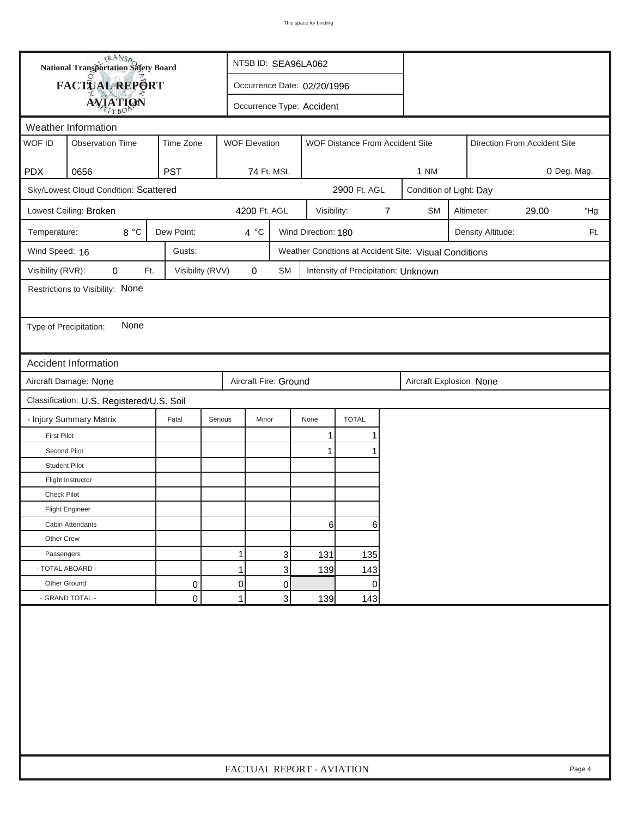|                                           | <b>National Transportation Safety Board</b>                               | NTSB ID: SEA96LA062 |                             |                                                         |                     |                                     |   |                                                       |                         |  |                              |  |  |
|-------------------------------------------|---------------------------------------------------------------------------|---------------------|-----------------------------|---------------------------------------------------------|---------------------|-------------------------------------|---|-------------------------------------------------------|-------------------------|--|------------------------------|--|--|
|                                           | FACTUAL REPORT                                                            |                     | Occurrence Date: 02/20/1996 |                                                         |                     |                                     |   |                                                       |                         |  |                              |  |  |
|                                           | <b>AVIATION</b>                                                           |                     | Occurrence Type: Accident   |                                                         |                     |                                     |   |                                                       |                         |  |                              |  |  |
|                                           | Weather Information                                                       |                     |                             |                                                         |                     |                                     |   |                                                       |                         |  |                              |  |  |
| WOF ID                                    | <b>Observation Time</b>                                                   | Time Zone           |                             | <b>WOF Elevation</b><br>WOF Distance From Accident Site |                     |                                     |   |                                                       |                         |  | Direction From Accident Site |  |  |
|                                           |                                                                           |                     |                             |                                                         |                     |                                     |   |                                                       |                         |  |                              |  |  |
| <b>PDX</b>                                | 0656                                                                      | <b>PST</b>          |                             | 74 Ft. MSL                                              |                     |                                     |   | <b>1 NM</b>                                           |                         |  | 0 Deg. Mag.                  |  |  |
|                                           | Sky/Lowest Cloud Condition: Scattered                                     |                     |                             |                                                         |                     | 2900 Ft. AGL                        |   |                                                       | Condition of Light: Day |  |                              |  |  |
|                                           | Lowest Ceiling: Broken                                                    |                     |                             | 4200 Ft. AGL                                            | Visibility:         |                                     | 7 | <b>SM</b><br>Altimeter:<br>29.00<br>"Hg               |                         |  |                              |  |  |
| Temperature:                              | 8°C                                                                       | Dew Point:          | 4 °C                        |                                                         | Wind Direction: 180 |                                     |   | Density Altitude:<br>Ft.                              |                         |  |                              |  |  |
| Wind Speed: 16                            |                                                                           | Gusts:              |                             |                                                         |                     |                                     |   | Weather Condtions at Accident Site: Visual Conditions |                         |  |                              |  |  |
| Visibility (RVR):                         | 0<br>Ft.                                                                  | Visibility (RVV)    | 0                           | <b>SM</b>                                               |                     | Intensity of Precipitation: Unknown |   |                                                       |                         |  |                              |  |  |
|                                           | Restrictions to Visibility: None                                          |                     |                             |                                                         |                     |                                     |   |                                                       |                         |  |                              |  |  |
|                                           |                                                                           |                     |                             |                                                         |                     |                                     |   |                                                       |                         |  |                              |  |  |
| Type of Precipitation:                    | None                                                                      |                     |                             |                                                         |                     |                                     |   |                                                       |                         |  |                              |  |  |
|                                           |                                                                           |                     |                             |                                                         |                     |                                     |   |                                                       |                         |  |                              |  |  |
|                                           | <b>Accident Information</b>                                               |                     |                             |                                                         |                     |                                     |   |                                                       |                         |  |                              |  |  |
|                                           | Aircraft Damage: None<br>Aircraft Fire: Ground<br>Aircraft Explosion None |                     |                             |                                                         |                     |                                     |   |                                                       |                         |  |                              |  |  |
| Classification: U.S. Registered/U.S. Soil |                                                                           |                     |                             |                                                         |                     |                                     |   |                                                       |                         |  |                              |  |  |
|                                           | - Injury Summary Matrix                                                   | Fatal               | Serious                     | Minor                                                   | None                | <b>TOTAL</b>                        |   |                                                       |                         |  |                              |  |  |
| <b>First Pilot</b>                        |                                                                           |                     |                             |                                                         | 1                   | 1                                   |   |                                                       |                         |  |                              |  |  |
| Second Pilot                              |                                                                           |                     |                             |                                                         | $\mathbf{1}$        | 1                                   |   |                                                       |                         |  |                              |  |  |
| <b>Student Pilot</b>                      |                                                                           |                     |                             |                                                         |                     |                                     |   |                                                       |                         |  |                              |  |  |
|                                           | Flight Instructor                                                         |                     |                             |                                                         |                     |                                     |   |                                                       |                         |  |                              |  |  |
| <b>Check Pilot</b>                        |                                                                           |                     |                             |                                                         |                     |                                     |   |                                                       |                         |  |                              |  |  |
|                                           | <b>Flight Engineer</b>                                                    |                     |                             |                                                         |                     |                                     |   |                                                       |                         |  |                              |  |  |
|                                           | Cabin Attendants                                                          |                     |                             |                                                         | 61                  | 6                                   |   |                                                       |                         |  |                              |  |  |
| Other Crew                                |                                                                           |                     |                             |                                                         |                     |                                     |   |                                                       |                         |  |                              |  |  |
| Passengers                                |                                                                           |                     | 1                           | 3                                                       | 131                 | 135                                 |   |                                                       |                         |  |                              |  |  |
| - TOTAL ABOARD -                          |                                                                           |                     | 1                           | 3                                                       | 139                 | 143                                 |   |                                                       |                         |  |                              |  |  |
| Other Ground                              |                                                                           | 0                   | $\overline{0}$              | 0                                                       |                     | 0                                   |   |                                                       |                         |  |                              |  |  |
|                                           | - GRAND TOTAL -                                                           | 0                   | $\mathbf{1}$                | 3                                                       | 139                 | 143                                 |   |                                                       |                         |  |                              |  |  |
|                                           |                                                                           |                     |                             |                                                         |                     |                                     |   |                                                       |                         |  |                              |  |  |
|                                           | FACTUAL REPORT - AVIATION<br>Page 4                                       |                     |                             |                                                         |                     |                                     |   |                                                       |                         |  |                              |  |  |